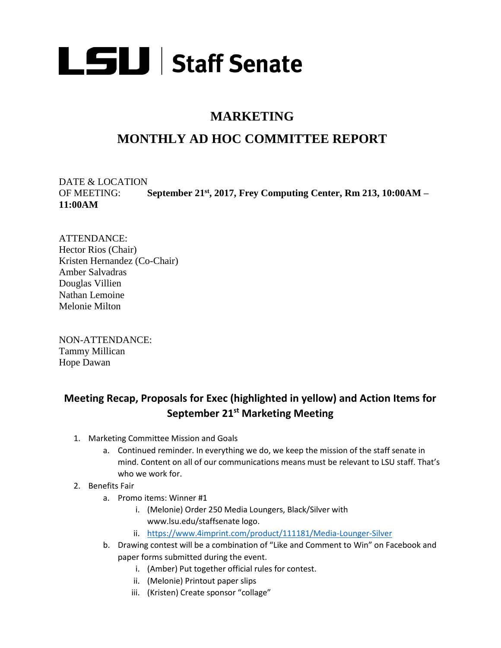

## **MARKETING**

## **MONTHLY AD HOC COMMITTEE REPORT**

DATE & LOCATION OF MEETING: **September 21 st, 2017, Frey Computing Center, Rm 213, 10:00AM – 11:00AM**

ATTENDANCE: Hector Rios (Chair) Kristen Hernandez (Co-Chair) Amber Salvadras Douglas Villien Nathan Lemoine Melonie Milton

NON-ATTENDANCE: Tammy Millican Hope Dawan

## **Meeting Recap, Proposals for Exec (highlighted in yellow) and Action Items for September 21st Marketing Meeting**

- 1. Marketing Committee Mission and Goals
	- a. Continued reminder. In everything we do, we keep the mission of the staff senate in mind. Content on all of our communications means must be relevant to LSU staff. That's who we work for.
- 2. Benefits Fair
	- a. Promo items: Winner #1
		- i. (Melonie) Order 250 Media Loungers, Black/Silver with www.lsu.edu/staffsenate logo.
		- ii. <https://www.4imprint.com/product/111181/Media-Lounger-Silver>
	- b. Drawing contest will be a combination of "Like and Comment to Win" on Facebook and paper forms submitted during the event.
		- i. (Amber) Put together official rules for contest.
		- ii. (Melonie) Printout paper slips
		- iii. (Kristen) Create sponsor "collage"